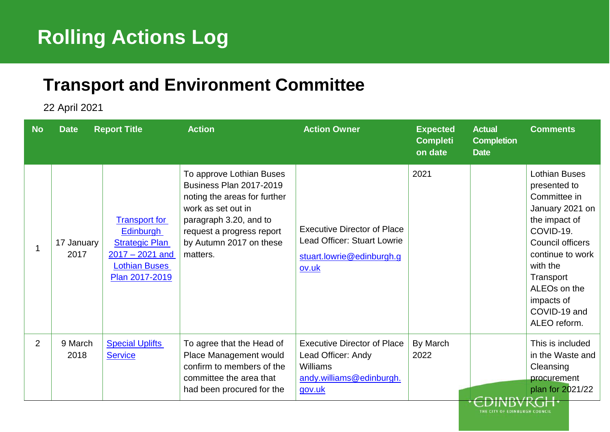## <sup>1</sup> **Rolling Actions Log**

## <sup>5</sup> **Transport and Environment Committee**

6 22 April 2021

| <b>No</b>    | <b>Date</b>        | <b>Report Title</b>                                                                                                              | <b>Action</b>                                                                                                                                                                                                  | <b>Action Owner</b>                                                                                               | <b>Expected</b><br><b>Completi</b><br>on date | <b>Actual</b><br><b>Completion</b><br><b>Date</b> | <b>Comments</b>                                                                                                                                                                                                                                  |
|--------------|--------------------|----------------------------------------------------------------------------------------------------------------------------------|----------------------------------------------------------------------------------------------------------------------------------------------------------------------------------------------------------------|-------------------------------------------------------------------------------------------------------------------|-----------------------------------------------|---------------------------------------------------|--------------------------------------------------------------------------------------------------------------------------------------------------------------------------------------------------------------------------------------------------|
| $\mathbf{1}$ | 17 January<br>2017 | <b>Transport for</b><br><b>Edinburgh</b><br><b>Strategic Plan</b><br>$2017 - 2021$ and<br><b>Lothian Buses</b><br>Plan 2017-2019 | To approve Lothian Buses<br><b>Business Plan 2017-2019</b><br>noting the areas for further<br>work as set out in<br>paragraph 3.20, and to<br>request a progress report<br>by Autumn 2017 on these<br>matters. | <b>Executive Director of Place</b><br><b>Lead Officer: Stuart Lowrie</b><br>stuart.lowrie@edinburgh.g<br>ov.uk    | 2021                                          |                                                   | <b>Lothian Buses</b><br>presented to<br>Committee in<br>January 2021 on<br>the impact of<br>COVID-19.<br>Council officers<br>continue to work<br>with the<br>Transport<br>ALEO <sub>s</sub> on the<br>impacts of<br>COVID-19 and<br>ALEO reform. |
| 2            | 9 March<br>2018    | <b>Special Uplifts</b><br><b>Service</b>                                                                                         | To agree that the Head of<br>Place Management would<br>confirm to members of the<br>committee the area that<br>had been procured for the                                                                       | <b>Executive Director of Place</b><br>Lead Officer: Andy<br><b>Williams</b><br>andy.williams@edinburgh.<br>gov.uk | By March<br>2022                              | <b><i>EDINBVRGH.</i></b>                          | This is included<br>in the Waste and<br>Cleansing<br>procurement<br>plan for 2021/22                                                                                                                                                             |

THE CITY OF EDINBURGH COUNCIL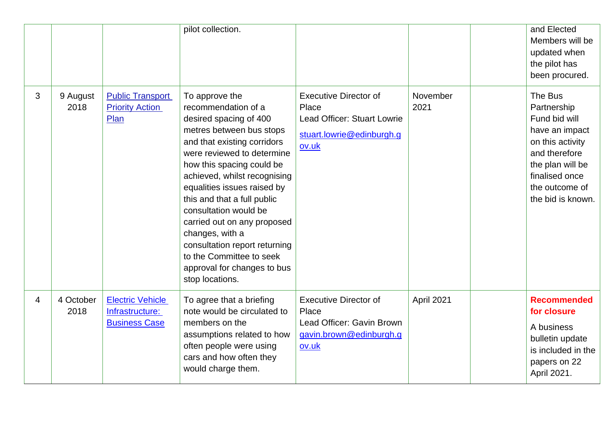|   |                   |                                                                    | pilot collection.                                                                                                                                                                                                                                                                                                                                                                                                                                                             |                                                                                                            |                  | and Elected<br>Members will be<br>updated when<br>the pilot has<br>been procured.                                                                                           |
|---|-------------------|--------------------------------------------------------------------|-------------------------------------------------------------------------------------------------------------------------------------------------------------------------------------------------------------------------------------------------------------------------------------------------------------------------------------------------------------------------------------------------------------------------------------------------------------------------------|------------------------------------------------------------------------------------------------------------|------------------|-----------------------------------------------------------------------------------------------------------------------------------------------------------------------------|
| 3 | 9 August<br>2018  | <b>Public Transport</b><br><b>Priority Action</b><br>Plan          | To approve the<br>recommendation of a<br>desired spacing of 400<br>metres between bus stops<br>and that existing corridors<br>were reviewed to determine<br>how this spacing could be<br>achieved, whilst recognising<br>equalities issues raised by<br>this and that a full public<br>consultation would be<br>carried out on any proposed<br>changes, with a<br>consultation report returning<br>to the Committee to seek<br>approval for changes to bus<br>stop locations. | <b>Executive Director of</b><br>Place<br>Lead Officer: Stuart Lowrie<br>stuart.lowrie@edinburgh.g<br>ov.uk | November<br>2021 | The Bus<br>Partnership<br>Fund bid will<br>have an impact<br>on this activity<br>and therefore<br>the plan will be<br>finalised once<br>the outcome of<br>the bid is known. |
| 4 | 4 October<br>2018 | <b>Electric Vehicle</b><br>Infrastructure:<br><b>Business Case</b> | To agree that a briefing<br>note would be circulated to<br>members on the<br>assumptions related to how<br>often people were using<br>cars and how often they<br>would charge them.                                                                                                                                                                                                                                                                                           | <b>Executive Director of</b><br>Place<br>Lead Officer: Gavin Brown<br>gavin.brown@edinburgh.g<br>ov.uk     | April 2021       | <b>Recommended</b><br>for closure<br>A business<br>bulletin update<br>is included in the<br>papers on 22<br>April 2021.                                                     |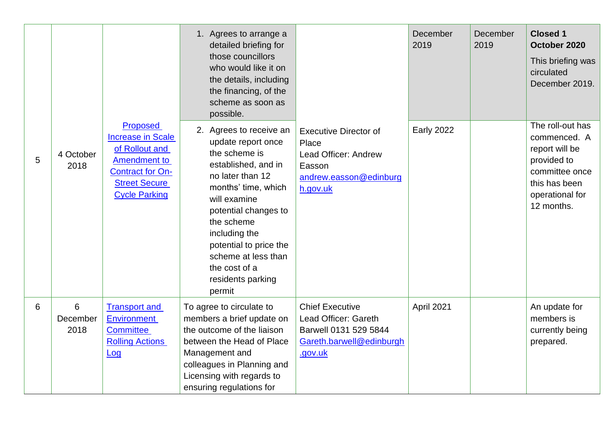|   |                       |                                                                                                                                                                 | 1. Agrees to arrange a<br>detailed briefing for<br>those councillors<br>who would like it on<br>the details, including<br>the financing, of the<br>scheme as soon as<br>possible.                                                                                                                        |                                                                                                                | December<br>2019  | December<br>2019 | <b>Closed 1</b><br>October 2020<br>This briefing was<br>circulated<br>December 2019.                                                  |
|---|-----------------------|-----------------------------------------------------------------------------------------------------------------------------------------------------------------|----------------------------------------------------------------------------------------------------------------------------------------------------------------------------------------------------------------------------------------------------------------------------------------------------------|----------------------------------------------------------------------------------------------------------------|-------------------|------------------|---------------------------------------------------------------------------------------------------------------------------------------|
| 5 | 4 October<br>2018     | <b>Proposed</b><br><b>Increase in Scale</b><br>of Rollout and<br><b>Amendment to</b><br><b>Contract for On-</b><br><b>Street Secure</b><br><b>Cycle Parking</b> | 2. Agrees to receive an<br>update report once<br>the scheme is<br>established, and in<br>no later than 12<br>months' time, which<br>will examine<br>potential changes to<br>the scheme<br>including the<br>potential to price the<br>scheme at less than<br>the cost of a<br>residents parking<br>permit | <b>Executive Director of</b><br>Place<br>Lead Officer: Andrew<br>Easson<br>andrew.easson@edinburg<br>h.gov.uk  | <b>Early 2022</b> |                  | The roll-out has<br>commenced. A<br>report will be<br>provided to<br>committee once<br>this has been<br>operational for<br>12 months. |
| 6 | 6<br>December<br>2018 | <b>Transport and</b><br><b>Environment</b><br><b>Committee</b><br><b>Rolling Actions</b><br>Log                                                                 | To agree to circulate to<br>members a brief update on<br>the outcome of the liaison<br>between the Head of Place<br>Management and<br>colleagues in Planning and<br>Licensing with regards to<br>ensuring regulations for                                                                                | <b>Chief Executive</b><br>Lead Officer: Gareth<br>Barwell 0131 529 5844<br>Gareth.barwell@edinburgh<br>.gov.uk | April 2021        |                  | An update for<br>members is<br>currently being<br>prepared.                                                                           |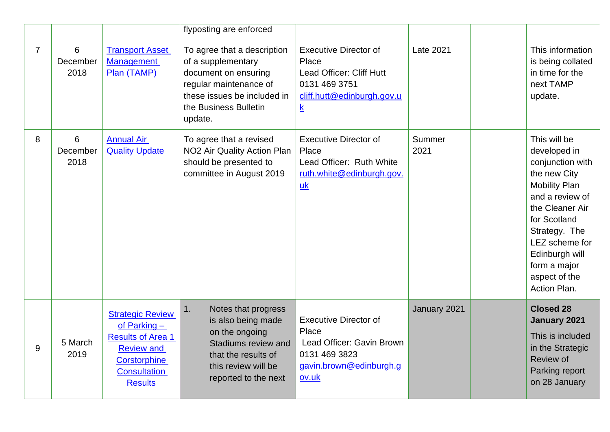|                |                       |                                                                                                                                                     | flyposting are enforced                                                                                                                                                |                                                                                                                                     |                  |                                                                                                                                                                                                                                                      |
|----------------|-----------------------|-----------------------------------------------------------------------------------------------------------------------------------------------------|------------------------------------------------------------------------------------------------------------------------------------------------------------------------|-------------------------------------------------------------------------------------------------------------------------------------|------------------|------------------------------------------------------------------------------------------------------------------------------------------------------------------------------------------------------------------------------------------------------|
| $\overline{7}$ | 6<br>December<br>2018 | <b>Transport Asset</b><br><b>Management</b><br>Plan (TAMP)                                                                                          | To agree that a description<br>of a supplementary<br>document on ensuring<br>regular maintenance of<br>these issues be included in<br>the Business Bulletin<br>update. | <b>Executive Director of</b><br>Place<br>Lead Officer: Cliff Hutt<br>0131 469 3751<br>cliff.hutt@edinburgh.gov.u<br>$\underline{k}$ | <b>Late 2021</b> | This information<br>is being collated<br>in time for the<br>next TAMP<br>update.                                                                                                                                                                     |
| 8              | 6<br>December<br>2018 | <b>Annual Air</b><br><b>Quality Update</b>                                                                                                          | To agree that a revised<br>NO <sub>2</sub> Air Quality Action Plan<br>should be presented to<br>committee in August 2019                                               | <b>Executive Director of</b><br>Place<br>Lead Officer: Ruth White<br>ruth.white@edinburgh.gov.<br>uk                                | Summer<br>2021   | This will be<br>developed in<br>conjunction with<br>the new City<br><b>Mobility Plan</b><br>and a review of<br>the Cleaner Air<br>for Scotland<br>Strategy. The<br>LEZ scheme for<br>Edinburgh will<br>form a major<br>aspect of the<br>Action Plan. |
| 9              | 5 March<br>2019       | <b>Strategic Review</b><br>of Parking $-$<br><b>Results of Area 1</b><br><b>Review and</b><br>Corstorphine<br><b>Consultation</b><br><b>Results</b> | Notes that progress<br>1.<br>is also being made<br>on the ongoing<br>Stadiums review and<br>that the results of<br>this review will be<br>reported to the next         | <b>Executive Director of</b><br>Place<br>Lead Officer: Gavin Brown<br>0131 469 3823<br>gavin.brown@edinburgh.g<br>ov.uk             | January 2021     | <b>Closed 28</b><br>January 2021<br>This is included<br>in the Strategic<br>Review of<br>Parking report<br>on 28 January                                                                                                                             |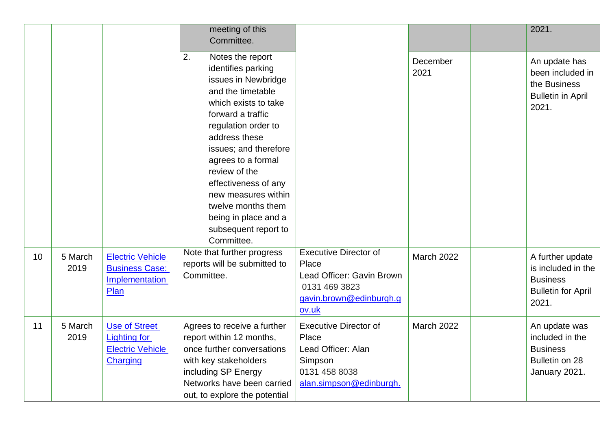|    |                 |                                                                                    | meeting of this<br>Committee.                                                                                                                                                                                                                                                                                                                                                    |                                                                                                                         |                   | 2021.                                                                                           |
|----|-----------------|------------------------------------------------------------------------------------|----------------------------------------------------------------------------------------------------------------------------------------------------------------------------------------------------------------------------------------------------------------------------------------------------------------------------------------------------------------------------------|-------------------------------------------------------------------------------------------------------------------------|-------------------|-------------------------------------------------------------------------------------------------|
|    |                 |                                                                                    | 2.<br>Notes the report<br>identifies parking<br>issues in Newbridge<br>and the timetable<br>which exists to take<br>forward a traffic<br>regulation order to<br>address these<br>issues; and therefore<br>agrees to a formal<br>review of the<br>effectiveness of any<br>new measures within<br>twelve months them<br>being in place and a<br>subsequent report to<br>Committee. |                                                                                                                         | December<br>2021  | An update has<br>been included in<br>the Business<br><b>Bulletin in April</b><br>2021.          |
| 10 | 5 March<br>2019 | <b>Electric Vehicle</b><br><b>Business Case:</b><br>Implementation<br>Plan         | Note that further progress<br>reports will be submitted to<br>Committee.                                                                                                                                                                                                                                                                                                         | <b>Executive Director of</b><br>Place<br>Lead Officer: Gavin Brown<br>0131 469 3823<br>gavin.brown@edinburgh.g<br>ov.uk | <b>March 2022</b> | A further update<br>is included in the<br><b>Business</b><br><b>Bulletin for April</b><br>2021. |
| 11 | 5 March<br>2019 | <b>Use of Street</b><br><b>Lighting for</b><br><b>Electric Vehicle</b><br>Charging | Agrees to receive a further<br>report within 12 months,<br>once further conversations<br>with key stakeholders<br>including SP Energy<br>Networks have been carried<br>out, to explore the potential                                                                                                                                                                             | <b>Executive Director of</b><br>Place<br>Lead Officer: Alan<br>Simpson<br>0131 458 8038<br>alan.simpson@edinburgh.      | <b>March 2022</b> | An update was<br>included in the<br><b>Business</b><br>Bulletin on 28<br>January 2021.          |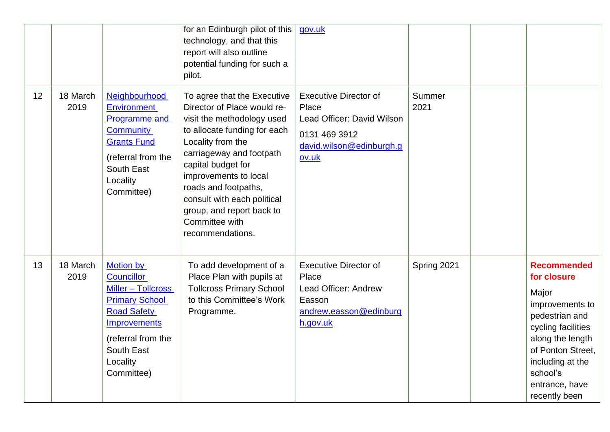|    |                  |                                                                                                                                                                                          | for an Edinburgh pilot of this<br>technology, and that this<br>report will also outline<br>potential funding for such a<br>pilot.                                                                                                                                                                                                                  | gov.uk                                                                                                                    |                |                                                                                                                                                                                                                   |
|----|------------------|------------------------------------------------------------------------------------------------------------------------------------------------------------------------------------------|----------------------------------------------------------------------------------------------------------------------------------------------------------------------------------------------------------------------------------------------------------------------------------------------------------------------------------------------------|---------------------------------------------------------------------------------------------------------------------------|----------------|-------------------------------------------------------------------------------------------------------------------------------------------------------------------------------------------------------------------|
| 12 | 18 March<br>2019 | Neighbourhood<br><b>Environment</b><br><b>Programme and</b><br><b>Community</b><br><b>Grants Fund</b><br>(referral from the<br>South East<br>Locality<br>Committee)                      | To agree that the Executive<br>Director of Place would re-<br>visit the methodology used<br>to allocate funding for each<br>Locality from the<br>carriageway and footpath<br>capital budget for<br>improvements to local<br>roads and footpaths,<br>consult with each political<br>group, and report back to<br>Committee with<br>recommendations. | <b>Executive Director of</b><br>Place<br>Lead Officer: David Wilson<br>0131 469 3912<br>david.wilson@edinburgh.g<br>ov.uk | Summer<br>2021 |                                                                                                                                                                                                                   |
| 13 | 18 March<br>2019 | <b>Motion by</b><br><b>Councillor</b><br>Miller - Tollcross<br><b>Primary School</b><br><b>Road Safety</b><br>Improvements<br>(referral from the<br>South East<br>Locality<br>Committee) | To add development of a<br>Place Plan with pupils at<br><b>Tollcross Primary School</b><br>to this Committee's Work<br>Programme.                                                                                                                                                                                                                  | <b>Executive Director of</b><br>Place<br>Lead Officer: Andrew<br>Easson<br>andrew.easson@edinburg<br>h.gov.uk             | Spring 2021    | <b>Recommended</b><br>for closure<br>Major<br>improvements to<br>pedestrian and<br>cycling facilities<br>along the length<br>of Ponton Street,<br>including at the<br>school's<br>entrance, have<br>recently been |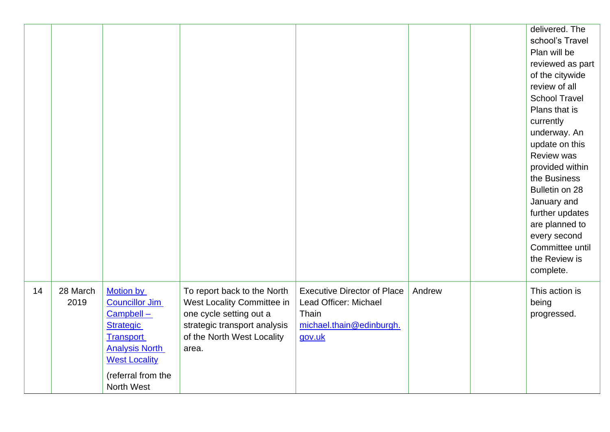|    |                  |                                                                                                                                                                              |                                                                                                                                                             |                                                                                                            |        | delivered. The<br>school's Travel<br>Plan will be<br>reviewed as part<br>of the citywide<br>review of all<br><b>School Travel</b><br>Plans that is<br>currently<br>underway. An<br>update on this<br><b>Review was</b><br>provided within<br>the Business<br>Bulletin on 28<br>January and<br>further updates<br>are planned to<br>every second<br>Committee until<br>the Review is<br>complete. |
|----|------------------|------------------------------------------------------------------------------------------------------------------------------------------------------------------------------|-------------------------------------------------------------------------------------------------------------------------------------------------------------|------------------------------------------------------------------------------------------------------------|--------|--------------------------------------------------------------------------------------------------------------------------------------------------------------------------------------------------------------------------------------------------------------------------------------------------------------------------------------------------------------------------------------------------|
| 14 | 28 March<br>2019 | Motion by<br><b>Councillor Jim</b><br>Campbell-<br><b>Strategic</b><br><b>Transport</b><br><b>Analysis North</b><br><b>West Locality</b><br>(referral from the<br>North West | To report back to the North<br>West Locality Committee in<br>one cycle setting out a<br>strategic transport analysis<br>of the North West Locality<br>area. | <b>Executive Director of Place</b><br>Lead Officer: Michael<br>Thain<br>michael.thain@edinburgh.<br>gov.uk | Andrew | This action is<br>being<br>progressed.                                                                                                                                                                                                                                                                                                                                                           |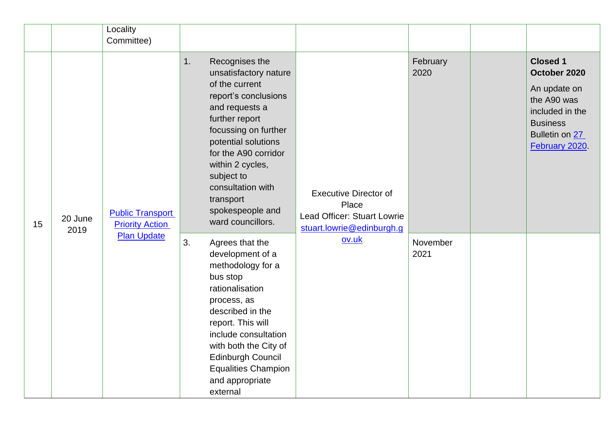|    |                 | Locality<br>Committee)                                                                                                                                                                                                                                                                                                                                                                                                                                                                                                            |                                                                                                                                                                                                                                                                 |                                                                                                                                          |                  |  |
|----|-----------------|-----------------------------------------------------------------------------------------------------------------------------------------------------------------------------------------------------------------------------------------------------------------------------------------------------------------------------------------------------------------------------------------------------------------------------------------------------------------------------------------------------------------------------------|-----------------------------------------------------------------------------------------------------------------------------------------------------------------------------------------------------------------------------------------------------------------|------------------------------------------------------------------------------------------------------------------------------------------|------------------|--|
| 15 | 20 June<br>2019 | Recognises the<br>1.<br>unsatisfactory nature<br>of the current<br>report's conclusions<br>and requests a<br>further report<br>focussing on further<br>potential solutions<br>for the A90 corridor<br>within 2 cycles,<br>subject to<br>consultation with<br><b>Executive Director of</b><br>transport<br>Place<br>spokespeople and<br><b>Public Transport</b><br>Lead Officer: Stuart Lowrie<br>ward councillors.<br><b>Priority Action</b><br>stuart.lowrie@edinburgh.g<br><b>Plan Update</b><br>ov.uk<br>3.<br>Agrees that the | February<br>2020                                                                                                                                                                                                                                                | <b>Closed 1</b><br>October 2020<br>An update on<br>the A90 was<br>included in the<br><b>Business</b><br>Bulletin on 27<br>February 2020. |                  |  |
|    |                 |                                                                                                                                                                                                                                                                                                                                                                                                                                                                                                                                   | development of a<br>methodology for a<br>bus stop<br>rationalisation<br>process, as<br>described in the<br>report. This will<br>include consultation<br>with both the City of<br>Edinburgh Council<br><b>Equalities Champion</b><br>and appropriate<br>external |                                                                                                                                          | November<br>2021 |  |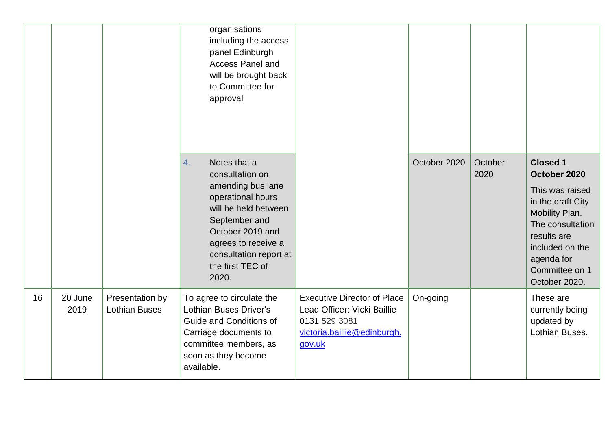|    |                 |                                         | organisations<br>including the access<br>panel Edinburgh<br><b>Access Panel and</b><br>will be brought back<br>to Committee for<br>approval                                                                                |                                                                                                                             |              |                 |                                                                                                                                                                                                  |
|----|-----------------|-----------------------------------------|----------------------------------------------------------------------------------------------------------------------------------------------------------------------------------------------------------------------------|-----------------------------------------------------------------------------------------------------------------------------|--------------|-----------------|--------------------------------------------------------------------------------------------------------------------------------------------------------------------------------------------------|
|    |                 |                                         | Notes that a<br>4.<br>consultation on<br>amending bus lane<br>operational hours<br>will be held between<br>September and<br>October 2019 and<br>agrees to receive a<br>consultation report at<br>the first TEC of<br>2020. |                                                                                                                             | October 2020 | October<br>2020 | <b>Closed 1</b><br>October 2020<br>This was raised<br>in the draft City<br>Mobility Plan.<br>The consultation<br>results are<br>included on the<br>agenda for<br>Committee on 1<br>October 2020. |
| 16 | 20 June<br>2019 | Presentation by<br><b>Lothian Buses</b> | To agree to circulate the<br>Lothian Buses Driver's<br>Guide and Conditions of<br>Carriage documents to<br>committee members, as<br>soon as they become<br>available.                                                      | <b>Executive Director of Place</b><br>Lead Officer: Vicki Baillie<br>0131 529 3081<br>victoria.baillie@edinburgh.<br>gov.uk | On-going     |                 | These are<br>currently being<br>updated by<br>Lothian Buses.                                                                                                                                     |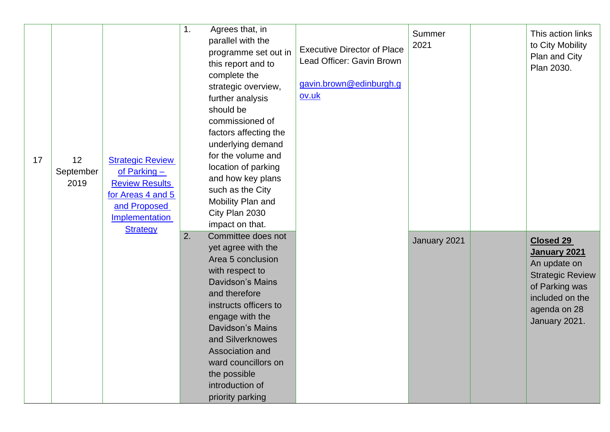| 17 | 12<br>September<br>2019 | <b>Strategic Review</b><br>of Parking $-$<br><b>Review Results</b><br>for Areas 4 and 5<br>and Proposed<br>Implementation<br><b>Strategy</b> | 1.<br>Agrees that, in<br>parallel with the<br>programme set out in<br>this report and to<br>complete the<br>strategic overview,<br>further analysis<br>should be<br>commissioned of<br>factors affecting the<br>underlying demand<br>for the volume and<br>location of parking<br>and how key plans<br>such as the City<br>Mobility Plan and<br>City Plan 2030<br>impact on that. | <b>Executive Director of Place</b><br>Lead Officer: Gavin Brown<br>gavin.brown@edinburgh.g<br>ov.uk | Summer<br>2021 | This action links<br>to City Mobility<br>Plan and City<br>Plan 2030.                                                                              |
|----|-------------------------|----------------------------------------------------------------------------------------------------------------------------------------------|-----------------------------------------------------------------------------------------------------------------------------------------------------------------------------------------------------------------------------------------------------------------------------------------------------------------------------------------------------------------------------------|-----------------------------------------------------------------------------------------------------|----------------|---------------------------------------------------------------------------------------------------------------------------------------------------|
|    |                         |                                                                                                                                              | 2.<br>Committee does not<br>yet agree with the<br>Area 5 conclusion<br>with respect to<br><b>Davidson's Mains</b><br>and therefore<br>instructs officers to<br>engage with the<br><b>Davidson's Mains</b><br>and Silverknowes<br>Association and<br>ward councillors on<br>the possible<br>introduction of<br>priority parking                                                    |                                                                                                     | January 2021   | <b>Closed 29</b><br>January 2021<br>An update on<br><b>Strategic Review</b><br>of Parking was<br>included on the<br>agenda on 28<br>January 2021. |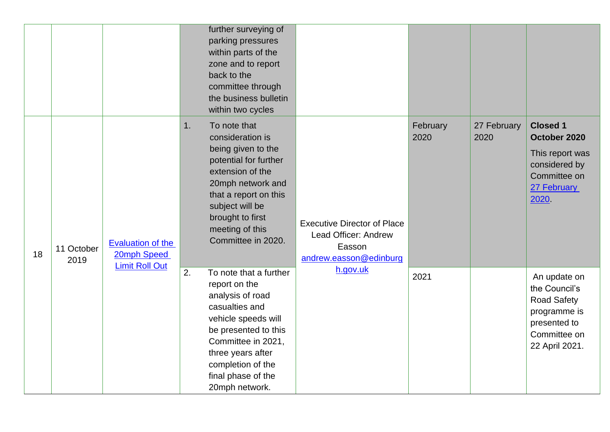|    |                    |                                                                  | further surveying of<br>parking pressures<br>within parts of the<br>zone and to report<br>back to the<br>committee through<br>the business bulletin<br>within two cycles                                                                   |                                                                                                |                  |                     |                                                                                                                       |
|----|--------------------|------------------------------------------------------------------|--------------------------------------------------------------------------------------------------------------------------------------------------------------------------------------------------------------------------------------------|------------------------------------------------------------------------------------------------|------------------|---------------------|-----------------------------------------------------------------------------------------------------------------------|
| 18 | 11 October<br>2019 | <b>Evaluation of the</b><br>20mph Speed<br><b>Limit Roll Out</b> | 1.<br>To note that<br>consideration is<br>being given to the<br>potential for further<br>extension of the<br>20mph network and<br>that a report on this<br>subject will be<br>brought to first<br>meeting of this<br>Committee in 2020.    | <b>Executive Director of Place</b><br>Lead Officer: Andrew<br>Easson<br>andrew.easson@edinburg | February<br>2020 | 27 February<br>2020 | <b>Closed 1</b><br>October 2020<br>This report was<br>considered by<br>Committee on<br>27 February<br>2020            |
|    |                    |                                                                  | 2.<br>To note that a further<br>report on the<br>analysis of road<br>casualties and<br>vehicle speeds will<br>be presented to this<br>Committee in 2021,<br>three years after<br>completion of the<br>final phase of the<br>20mph network. | h.gov.uk                                                                                       | 2021             |                     | An update on<br>the Council's<br><b>Road Safety</b><br>programme is<br>presented to<br>Committee on<br>22 April 2021. |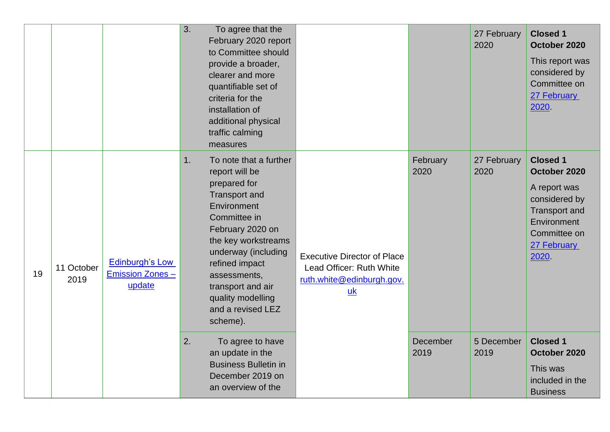|    |                    |                                                            | 3. | To agree that the<br>February 2020 report<br>to Committee should<br>provide a broader,<br>clearer and more<br>quantifiable set of<br>criteria for the<br>installation of<br>additional physical<br>traffic calming<br>measures                                                                 |                                                                                                                 |                  | 27 February<br>2020 | <b>Closed 1</b><br>October 2020<br>This report was<br>considered by<br>Committee on<br>27 February<br>2020                                     |
|----|--------------------|------------------------------------------------------------|----|------------------------------------------------------------------------------------------------------------------------------------------------------------------------------------------------------------------------------------------------------------------------------------------------|-----------------------------------------------------------------------------------------------------------------|------------------|---------------------|------------------------------------------------------------------------------------------------------------------------------------------------|
| 19 | 11 October<br>2019 | <b>Edinburgh's Low</b><br><b>Emission Zones-</b><br>update | 1. | To note that a further<br>report will be<br>prepared for<br><b>Transport and</b><br>Environment<br>Committee in<br>February 2020 on<br>the key workstreams<br>underway (including<br>refined impact<br>assessments,<br>transport and air<br>quality modelling<br>and a revised LEZ<br>scheme). | <b>Executive Director of Place</b><br>Lead Officer: Ruth White<br>ruth.white@edinburgh.gov.<br>$\underline{uk}$ | February<br>2020 | 27 February<br>2020 | <b>Closed 1</b><br>October 2020<br>A report was<br>considered by<br><b>Transport and</b><br>Environment<br>Committee on<br>27 February<br>2020 |
|    |                    |                                                            | 2. | To agree to have<br>an update in the<br><b>Business Bulletin in</b><br>December 2019 on<br>an overview of the                                                                                                                                                                                  |                                                                                                                 | December<br>2019 | 5 December<br>2019  | <b>Closed 1</b><br>October 2020<br>This was<br>included in the<br><b>Business</b>                                                              |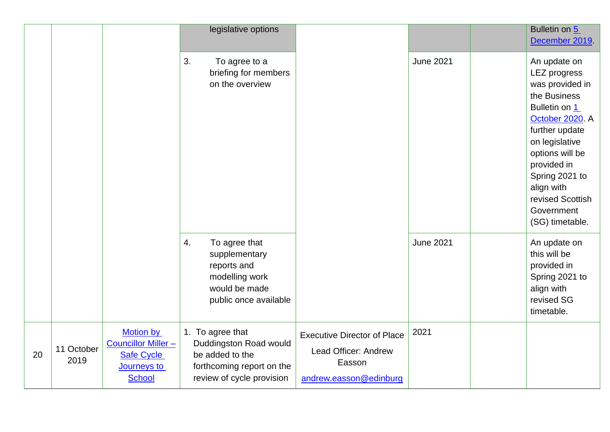|    |                    |                                                                                                    | legislative options                                                                                                     |                                                                                                |                  | Bulletin on 5<br>December 2019.                                                                                                                                                                                                                                       |
|----|--------------------|----------------------------------------------------------------------------------------------------|-------------------------------------------------------------------------------------------------------------------------|------------------------------------------------------------------------------------------------|------------------|-----------------------------------------------------------------------------------------------------------------------------------------------------------------------------------------------------------------------------------------------------------------------|
|    |                    |                                                                                                    | 3.<br>To agree to a<br>briefing for members<br>on the overview                                                          |                                                                                                | <b>June 2021</b> | An update on<br><b>LEZ</b> progress<br>was provided in<br>the Business<br>Bulletin on 1<br>October 2020. A<br>further update<br>on legislative<br>options will be<br>provided in<br>Spring 2021 to<br>align with<br>revised Scottish<br>Government<br>(SG) timetable. |
|    |                    |                                                                                                    | 4.<br>To agree that<br>supplementary<br>reports and<br>modelling work<br>would be made<br>public once available         |                                                                                                | <b>June 2021</b> | An update on<br>this will be<br>provided in<br>Spring 2021 to<br>align with<br>revised SG<br>timetable.                                                                                                                                                               |
| 20 | 11 October<br>2019 | <b>Motion by</b><br><b>Councillor Miller-</b><br><b>Safe Cycle</b><br>Journeys to<br><b>School</b> | 1. To agree that<br>Duddingston Road would<br>be added to the<br>forthcoming report on the<br>review of cycle provision | <b>Executive Director of Place</b><br>Lead Officer: Andrew<br>Easson<br>andrew.easson@edinburg | 2021             |                                                                                                                                                                                                                                                                       |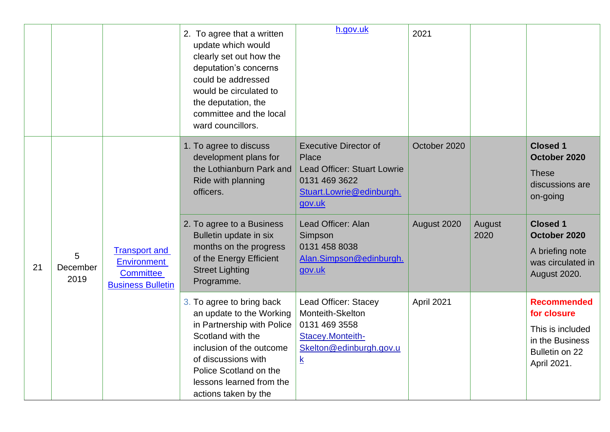|    |                       |                                                                                            | 2. To agree that a written<br>update which would<br>clearly set out how the<br>deputation's concerns<br>could be addressed<br>would be circulated to<br>the deputation, the<br>committee and the local<br>ward councillors.               | h.gov.uk                                                                                                                           | 2021         |                |                                                                                                           |
|----|-----------------------|--------------------------------------------------------------------------------------------|-------------------------------------------------------------------------------------------------------------------------------------------------------------------------------------------------------------------------------------------|------------------------------------------------------------------------------------------------------------------------------------|--------------|----------------|-----------------------------------------------------------------------------------------------------------|
|    |                       |                                                                                            | 1. To agree to discuss<br>development plans for<br>the Lothianburn Park and<br>Ride with planning<br>officers.                                                                                                                            | <b>Executive Director of</b><br>Place<br><b>Lead Officer: Stuart Lowrie</b><br>0131 469 3622<br>Stuart.Lowrie@edinburgh.<br>gov.uk | October 2020 |                | <b>Closed 1</b><br>October 2020<br><b>These</b><br>discussions are<br>on-going                            |
| 21 | 5<br>December<br>2019 | <b>Transport and</b><br><b>Environment</b><br><b>Committee</b><br><b>Business Bulletin</b> | 2. To agree to a Business<br>Bulletin update in six<br>months on the progress<br>of the Energy Efficient<br><b>Street Lighting</b><br>Programme.                                                                                          | Lead Officer: Alan<br>Simpson<br>0131 458 8038<br>Alan.Simpson@edinburgh.<br>gov.uk                                                | August 2020  | August<br>2020 | <b>Closed 1</b><br>October 2020<br>A briefing note<br>was circulated in<br>August 2020.                   |
|    |                       |                                                                                            | 3. To agree to bring back<br>an update to the Working<br>in Partnership with Police<br>Scotland with the<br>inclusion of the outcome<br>of discussions with<br>Police Scotland on the<br>lessons learned from the<br>actions taken by the | Lead Officer: Stacey<br>Monteith-Skelton<br>0131 469 3558<br>Stacey.Monteith-<br>Skelton@edinburgh.gov.u<br>$\underline{k}$        | April 2021   |                | <b>Recommended</b><br>for closure<br>This is included<br>in the Business<br>Bulletin on 22<br>April 2021. |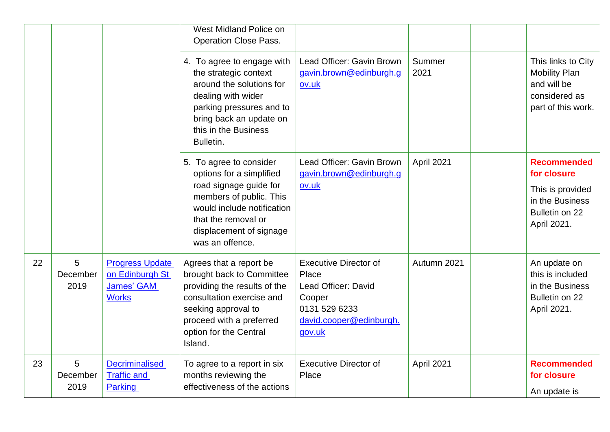|    |                       |                                                                         | West Midland Police on<br><b>Operation Close Pass.</b>                                                                                                                                                    |                                                                                                                              |                |                                                                                                  |
|----|-----------------------|-------------------------------------------------------------------------|-----------------------------------------------------------------------------------------------------------------------------------------------------------------------------------------------------------|------------------------------------------------------------------------------------------------------------------------------|----------------|--------------------------------------------------------------------------------------------------|
|    |                       |                                                                         | 4. To agree to engage with<br>the strategic context<br>around the solutions for<br>dealing with wider<br>parking pressures and to<br>bring back an update on<br>this in the Business<br>Bulletin.         | Lead Officer: Gavin Brown<br>gavin.brown@edinburgh.g<br>ov.uk                                                                | Summer<br>2021 | This links to City<br><b>Mobility Plan</b><br>and will be<br>considered as<br>part of this work. |
|    |                       |                                                                         | 5. To agree to consider<br>options for a simplified                                                                                                                                                       | Lead Officer: Gavin Brown<br>gavin.brown@edinburgh.g                                                                         | April 2021     | <b>Recommended</b><br>for closure                                                                |
|    |                       |                                                                         | road signage guide for<br>members of public. This<br>would include notification<br>that the removal or<br>displacement of signage<br>was an offence.                                                      | ov.uk                                                                                                                        |                | This is provided<br>in the Business<br>Bulletin on 22<br>April 2021.                             |
| 22 | 5<br>December<br>2019 | <b>Progress Update</b><br>on Edinburgh St<br>James' GAM<br><b>Works</b> | Agrees that a report be<br>brought back to Committee<br>providing the results of the<br>consultation exercise and<br>seeking approval to<br>proceed with a preferred<br>option for the Central<br>Island. | <b>Executive Director of</b><br>Place<br>Lead Officer: David<br>Cooper<br>0131 529 6233<br>david.cooper@edinburgh.<br>gov.uk | Autumn 2021    | An update on<br>this is included<br>in the Business<br>Bulletin on 22<br>April 2021.             |
| 23 | 5<br>December<br>2019 | <b>Decriminalised</b><br><b>Traffic and</b><br>Parking                  | To agree to a report in six<br>months reviewing the<br>effectiveness of the actions                                                                                                                       | <b>Executive Director of</b><br>Place                                                                                        | April 2021     | <b>Recommended</b><br>for closure<br>An update is                                                |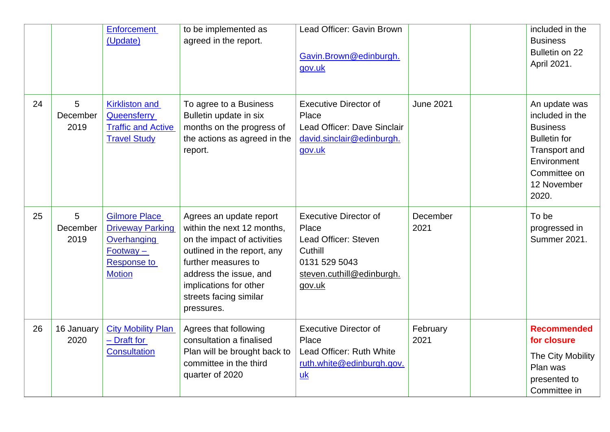|    |                       | <b>Enforcement</b><br>(Update)                                                                                       | to be implemented as<br>agreed in the report.                                                                                                                                                                                          | Lead Officer: Gavin Brown<br>Gavin.Brown@edinburgh.<br>gov.uk                                                                    |                  | included in the<br><b>Business</b><br>Bulletin on 22<br>April 2021.                                                                                       |
|----|-----------------------|----------------------------------------------------------------------------------------------------------------------|----------------------------------------------------------------------------------------------------------------------------------------------------------------------------------------------------------------------------------------|----------------------------------------------------------------------------------------------------------------------------------|------------------|-----------------------------------------------------------------------------------------------------------------------------------------------------------|
| 24 | 5<br>December<br>2019 | <b>Kirkliston and</b><br>Queensferry<br><b>Traffic and Active</b><br><b>Travel Study</b>                             | To agree to a Business<br>Bulletin update in six<br>months on the progress of<br>the actions as agreed in the<br>report.                                                                                                               | <b>Executive Director of</b><br>Place<br>Lead Officer: Dave Sinclair<br>david.sinclair@edinburgh.<br>gov.uk                      | <b>June 2021</b> | An update was<br>included in the<br><b>Business</b><br><b>Bulletin for</b><br><b>Transport and</b><br>Environment<br>Committee on<br>12 November<br>2020. |
| 25 | 5<br>December<br>2019 | <b>Gilmore Place</b><br><b>Driveway Parking</b><br>Overhanging<br>$Footway -$<br><b>Response to</b><br><b>Motion</b> | Agrees an update report<br>within the next 12 months,<br>on the impact of activities<br>outlined in the report, any<br>further measures to<br>address the issue, and<br>implications for other<br>streets facing similar<br>pressures. | <b>Executive Director of</b><br>Place<br>Lead Officer: Steven<br>Cuthill<br>0131 529 5043<br>steven.cuthill@edinburgh.<br>gov.uk | December<br>2021 | To be<br>progressed in<br><b>Summer 2021.</b>                                                                                                             |
| 26 | 16 January<br>2020    | <b>City Mobility Plan</b><br>- Draft for<br><b>Consultation</b>                                                      | Agrees that following<br>consultation a finalised<br>Plan will be brought back to<br>committee in the third<br>quarter of 2020                                                                                                         | <b>Executive Director of</b><br>Place<br>Lead Officer: Ruth White<br>ruth.white@edinburgh.gov.<br>$\underline{uk}$               | February<br>2021 | <b>Recommended</b><br>for closure<br>The City Mobility<br>Plan was<br>presented to<br>Committee in                                                        |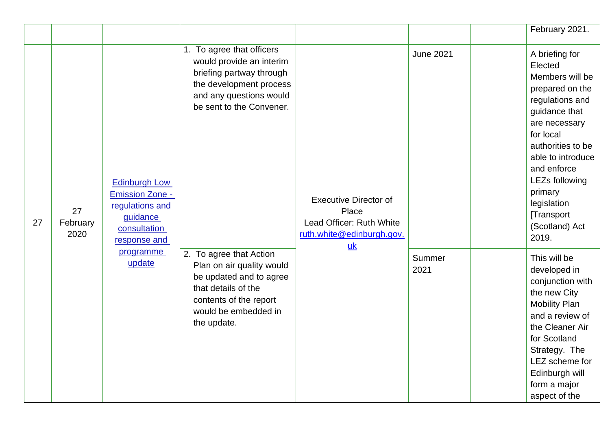|    |                        |                                                                                                               |                                                                                                                                                                         |                                                                                                |                  | February 2021.                                                                                                                                                                                                                                                                  |
|----|------------------------|---------------------------------------------------------------------------------------------------------------|-------------------------------------------------------------------------------------------------------------------------------------------------------------------------|------------------------------------------------------------------------------------------------|------------------|---------------------------------------------------------------------------------------------------------------------------------------------------------------------------------------------------------------------------------------------------------------------------------|
| 27 | 27<br>February<br>2020 | <b>Edinburgh Low</b><br><b>Emission Zone -</b><br>regulations and<br>guidance<br>consultation<br>response and | 1. To agree that officers<br>would provide an interim<br>briefing partway through<br>the development process<br>and any questions would<br>be sent to the Convener.     | <b>Executive Director of</b><br>Place<br>Lead Officer: Ruth White<br>ruth.white@edinburgh.gov. | <b>June 2021</b> | A briefing for<br>Elected<br>Members will be<br>prepared on the<br>regulations and<br>guidance that<br>are necessary<br>for local<br>authorities to be<br>able to introduce<br>and enforce<br>LEZs following<br>primary<br>legislation<br>[Transport<br>(Scotland) Act<br>2019. |
|    |                        | programme<br>update                                                                                           | 2. To agree that Action<br>Plan on air quality would<br>be updated and to agree<br>that details of the<br>contents of the report<br>would be embedded in<br>the update. | $\underline{uk}$                                                                               | Summer<br>2021   | This will be<br>developed in<br>conjunction with<br>the new City<br><b>Mobility Plan</b><br>and a review of<br>the Cleaner Air<br>for Scotland<br>Strategy. The<br>LEZ scheme for<br>Edinburgh will<br>form a major<br>aspect of the                                            |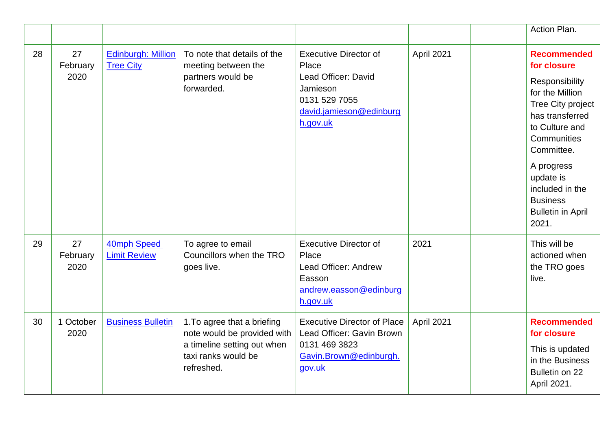|    |                        |                                               |                                                                                                                                |                                                                                                                                  |            | Action Plan.                                                                                                                                                                                                                                                               |
|----|------------------------|-----------------------------------------------|--------------------------------------------------------------------------------------------------------------------------------|----------------------------------------------------------------------------------------------------------------------------------|------------|----------------------------------------------------------------------------------------------------------------------------------------------------------------------------------------------------------------------------------------------------------------------------|
| 28 | 27<br>February<br>2020 | <b>Edinburgh: Million</b><br><b>Tree City</b> | To note that details of the<br>meeting between the<br>partners would be<br>forwarded.                                          | <b>Executive Director of</b><br>Place<br>Lead Officer: David<br>Jamieson<br>0131 529 7055<br>david.jamieson@edinburg<br>h.gov.uk | April 2021 | <b>Recommended</b><br>for closure<br>Responsibility<br>for the Million<br><b>Tree City project</b><br>has transferred<br>to Culture and<br>Communities<br>Committee.<br>A progress<br>update is<br>included in the<br><b>Business</b><br><b>Bulletin in April</b><br>2021. |
| 29 | 27<br>February<br>2020 | 40mph Speed<br><b>Limit Review</b>            | To agree to email<br>Councillors when the TRO<br>goes live.                                                                    | <b>Executive Director of</b><br>Place<br>Lead Officer: Andrew<br>Easson<br>andrew.easson@edinburg<br>h.gov.uk                    | 2021       | This will be<br>actioned when<br>the TRO goes<br>live.                                                                                                                                                                                                                     |
| 30 | 1 October<br>2020      | <b>Business Bulletin</b>                      | 1. To agree that a briefing<br>note would be provided with<br>a timeline setting out when<br>taxi ranks would be<br>refreshed. | <b>Executive Director of Place</b><br>Lead Officer: Gavin Brown<br>0131 469 3823<br>Gavin.Brown@edinburgh.<br>gov.uk             | April 2021 | <b>Recommended</b><br>for closure<br>This is updated<br>in the Business<br>Bulletin on 22<br>April 2021.                                                                                                                                                                   |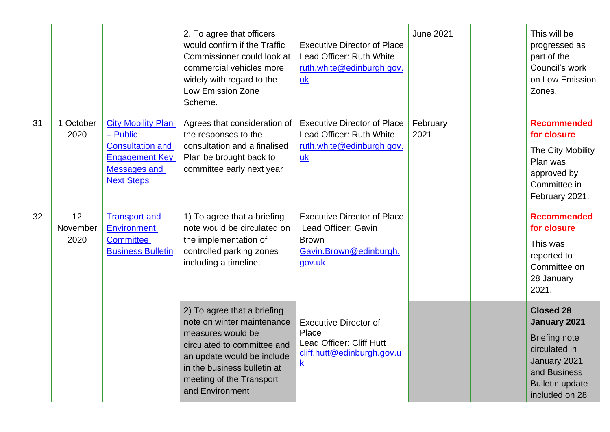|    |                        |                                                                                                                                       | 2. To agree that officers<br>would confirm if the Traffic<br>Commissioner could look at<br>commercial vehicles more<br>widely with regard to the<br><b>Low Emission Zone</b><br>Scheme.                                   | <b>Executive Director of Place</b><br>Lead Officer: Ruth White<br>ruth.white@edinburgh.gov.<br>uk                           | <b>June 2021</b> | This will be<br>progressed as<br>part of the<br>Council's work<br>on Low Emission<br>Zones.                                                           |
|----|------------------------|---------------------------------------------------------------------------------------------------------------------------------------|---------------------------------------------------------------------------------------------------------------------------------------------------------------------------------------------------------------------------|-----------------------------------------------------------------------------------------------------------------------------|------------------|-------------------------------------------------------------------------------------------------------------------------------------------------------|
| 31 | 1 October<br>2020      | <b>City Mobility Plan</b><br>- Public<br><b>Consultation and</b><br><b>Engagement Key</b><br><b>Messages and</b><br><b>Next Steps</b> | Agrees that consideration of<br>the responses to the<br>consultation and a finalised<br>Plan be brought back to<br>committee early next year                                                                              | <b>Executive Director of Place</b><br>Lead Officer: Ruth White<br>ruth.white@edinburgh.gov.<br>uk                           | February<br>2021 | <b>Recommended</b><br>for closure<br>The City Mobility<br>Plan was<br>approved by<br>Committee in<br>February 2021.                                   |
| 32 | 12<br>November<br>2020 | <b>Transport and</b><br><b>Environment</b><br><b>Committee</b><br><b>Business Bulletin</b>                                            | 1) To agree that a briefing<br>note would be circulated on<br>the implementation of<br>controlled parking zones<br>including a timeline.                                                                                  | <b>Executive Director of Place</b><br>Lead Officer: Gavin<br><b>Brown</b><br>Gavin.Brown@edinburgh.<br>gov.uk               |                  | <b>Recommended</b><br>for closure<br>This was<br>reported to<br>Committee on<br>28 January<br>2021.                                                   |
|    |                        |                                                                                                                                       | 2) To agree that a briefing<br>note on winter maintenance<br>measures would be<br>circulated to committee and<br>an update would be include<br>in the business bulletin at<br>meeting of the Transport<br>and Environment | <b>Executive Director of</b><br>Place<br>Lead Officer: Cliff Hutt<br>cliff.hutt@edinburgh.gov.u<br>$\underline{\mathbf{k}}$ |                  | <b>Closed 28</b><br>January 2021<br><b>Briefing note</b><br>circulated in<br>January 2021<br>and Business<br><b>Bulletin update</b><br>included on 28 |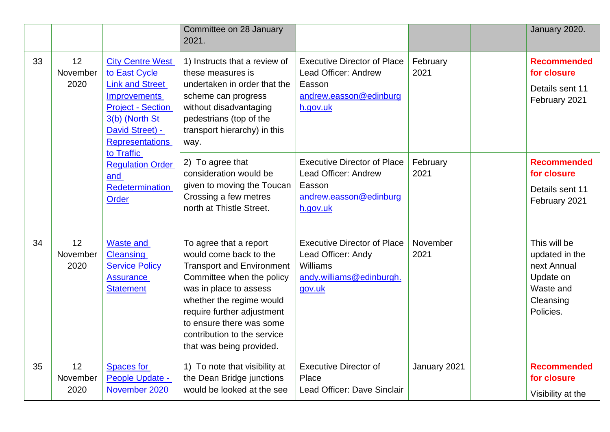|    |                        |                                                                                                                                                                                                                                                                  | Committee on 28 January<br>2021.                                                                                                                                                                                                                                                             |                                                                                                            |                  | January 2020.                                                                                     |
|----|------------------------|------------------------------------------------------------------------------------------------------------------------------------------------------------------------------------------------------------------------------------------------------------------|----------------------------------------------------------------------------------------------------------------------------------------------------------------------------------------------------------------------------------------------------------------------------------------------|------------------------------------------------------------------------------------------------------------|------------------|---------------------------------------------------------------------------------------------------|
| 33 | 12<br>November<br>2020 | <b>City Centre West</b><br>to East Cycle<br><b>Link and Street</b><br><b>Improvements</b><br><b>Project - Section</b><br>3(b) (North St<br>David Street) -<br><b>Representations</b><br>to Traffic<br><b>Regulation Order</b><br>and<br>Redetermination<br>Order | 1) Instructs that a review of<br>these measures is<br>undertaken in order that the<br>scheme can progress<br>without disadvantaging<br>pedestrians (top of the<br>transport hierarchy) in this<br>way.                                                                                       | <b>Executive Director of Place</b><br>Lead Officer: Andrew<br>Easson<br>andrew.easson@edinburg<br>h.gov.uk | February<br>2021 | <b>Recommended</b><br>for closure<br>Details sent 11<br>February 2021                             |
|    |                        |                                                                                                                                                                                                                                                                  | 2) To agree that<br>consideration would be<br>given to moving the Toucan<br>Crossing a few metres<br>north at Thistle Street.                                                                                                                                                                | <b>Executive Director of Place</b><br>Lead Officer: Andrew<br>Easson<br>andrew.easson@edinburg<br>h.gov.uk | February<br>2021 | <b>Recommended</b><br>for closure<br>Details sent 11<br>February 2021                             |
| 34 | 12<br>November<br>2020 | <b>Waste and</b><br><b>Cleansing</b><br><b>Service Policy</b><br><b>Assurance</b><br><b>Statement</b>                                                                                                                                                            | To agree that a report<br>would come back to the<br><b>Transport and Environment</b><br>Committee when the policy<br>was in place to assess<br>whether the regime would<br>require further adjustment<br>to ensure there was some<br>contribution to the service<br>that was being provided. | <b>Executive Director of Place</b><br>Lead Officer: Andy<br>Williams<br>andy.williams@edinburgh.<br>gov.uk | November<br>2021 | This will be<br>updated in the<br>next Annual<br>Update on<br>Waste and<br>Cleansing<br>Policies. |
| 35 | 12<br>November<br>2020 | <b>Spaces for</b><br>People Update -<br>November 2020                                                                                                                                                                                                            | 1) To note that visibility at<br>the Dean Bridge junctions<br>would be looked at the see                                                                                                                                                                                                     | <b>Executive Director of</b><br>Place<br>Lead Officer: Dave Sinclair                                       | January 2021     | <b>Recommended</b><br>for closure<br>Visibility at the                                            |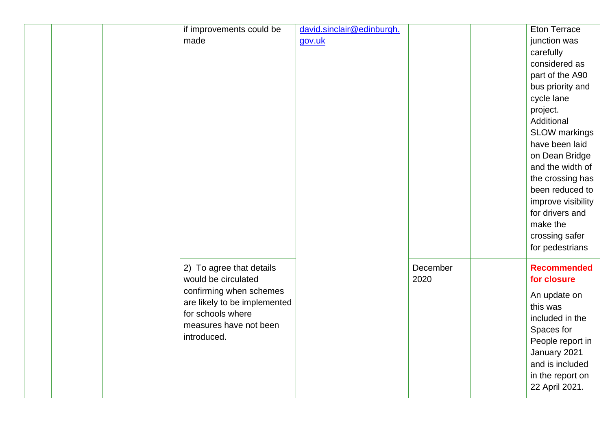|  | if improvements could be<br>made                                                                                                                                         | david.sinclair@edinburgh.<br>gov.uk |                  | <b>Eton Terrace</b><br>junction was<br>carefully<br>considered as<br>part of the A90<br>bus priority and<br>cycle lane<br>project.<br>Additional<br>SLOW markings<br>have been laid<br>on Dean Bridge<br>and the width of<br>the crossing has<br>been reduced to<br>improve visibility<br>for drivers and<br>make the<br>crossing safer<br>for pedestrians |
|--|--------------------------------------------------------------------------------------------------------------------------------------------------------------------------|-------------------------------------|------------------|------------------------------------------------------------------------------------------------------------------------------------------------------------------------------------------------------------------------------------------------------------------------------------------------------------------------------------------------------------|
|  | 2) To agree that details<br>would be circulated<br>confirming when schemes<br>are likely to be implemented<br>for schools where<br>measures have not been<br>introduced. |                                     | December<br>2020 | <b>Recommended</b><br>for closure<br>An update on<br>this was<br>included in the<br>Spaces for<br>People report in<br>January 2021<br>and is included<br>in the report on<br>22 April 2021.                                                                                                                                                                |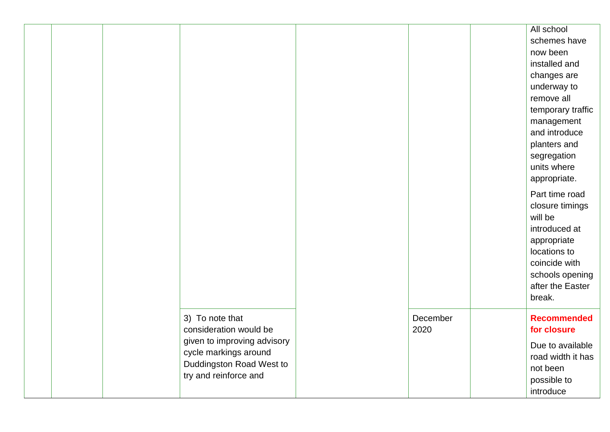|  |                                                                                                                                                        |                  | All school<br>schemes have<br>now been<br>installed and<br>changes are<br>underway to<br>remove all<br>temporary traffic<br>management<br>and introduce<br>planters and<br>segregation<br>units where<br>appropriate.<br>Part time road<br>closure timings<br>will be<br>introduced at<br>appropriate<br>locations to<br>coincide with |
|--|--------------------------------------------------------------------------------------------------------------------------------------------------------|------------------|----------------------------------------------------------------------------------------------------------------------------------------------------------------------------------------------------------------------------------------------------------------------------------------------------------------------------------------|
|  |                                                                                                                                                        |                  | schools opening<br>after the Easter<br>break.                                                                                                                                                                                                                                                                                          |
|  | 3) To note that<br>consideration would be<br>given to improving advisory<br>cycle markings around<br>Duddingston Road West to<br>try and reinforce and | December<br>2020 | <b>Recommended</b><br>for closure<br>Due to available<br>road width it has<br>not been<br>possible to<br>introduce                                                                                                                                                                                                                     |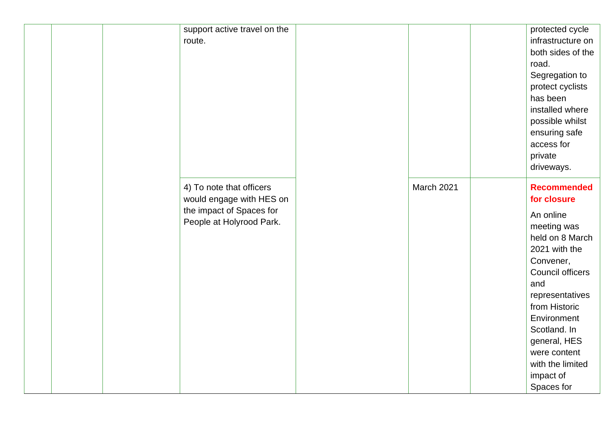| support active travel on the<br>route.                                                                       |            | protected cycle<br>infrastructure on<br>both sides of the<br>road.<br>Segregation to<br>protect cyclists<br>has been<br>installed where<br>possible whilst<br>ensuring safe<br>access for<br>private<br>driveways.                                                                          |
|--------------------------------------------------------------------------------------------------------------|------------|---------------------------------------------------------------------------------------------------------------------------------------------------------------------------------------------------------------------------------------------------------------------------------------------|
| 4) To note that officers<br>would engage with HES on<br>the impact of Spaces for<br>People at Holyrood Park. | March 2021 | <b>Recommended</b><br>for closure<br>An online<br>meeting was<br>held on 8 March<br>2021 with the<br>Convener,<br>Council officers<br>and<br>representatives<br>from Historic<br>Environment<br>Scotland. In<br>general, HES<br>were content<br>with the limited<br>impact of<br>Spaces for |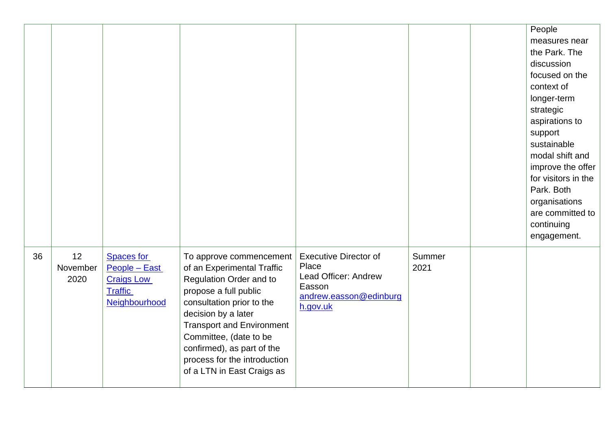|    |                        |                                                                                            |                                                                                                                                                                                                                                                                                                                         |                                                                                                               |                | People<br>measures near<br>the Park. The<br>discussion<br>focused on the<br>context of<br>longer-term<br>strategic<br>aspirations to<br>support<br>sustainable<br>modal shift and<br>improve the offer<br>for visitors in the<br>Park. Both<br>organisations<br>are committed to<br>continuing<br>engagement. |
|----|------------------------|--------------------------------------------------------------------------------------------|-------------------------------------------------------------------------------------------------------------------------------------------------------------------------------------------------------------------------------------------------------------------------------------------------------------------------|---------------------------------------------------------------------------------------------------------------|----------------|---------------------------------------------------------------------------------------------------------------------------------------------------------------------------------------------------------------------------------------------------------------------------------------------------------------|
| 36 | 12<br>November<br>2020 | <b>Spaces for</b><br>People - East<br><b>Craigs Low</b><br><b>Traffic</b><br>Neighbourhood | To approve commencement<br>of an Experimental Traffic<br>Regulation Order and to<br>propose a full public<br>consultation prior to the<br>decision by a later<br><b>Transport and Environment</b><br>Committee, (date to be<br>confirmed), as part of the<br>process for the introduction<br>of a LTN in East Craigs as | <b>Executive Director of</b><br>Place<br>Lead Officer: Andrew<br>Easson<br>andrew.easson@edinburg<br>h.gov.uk | Summer<br>2021 |                                                                                                                                                                                                                                                                                                               |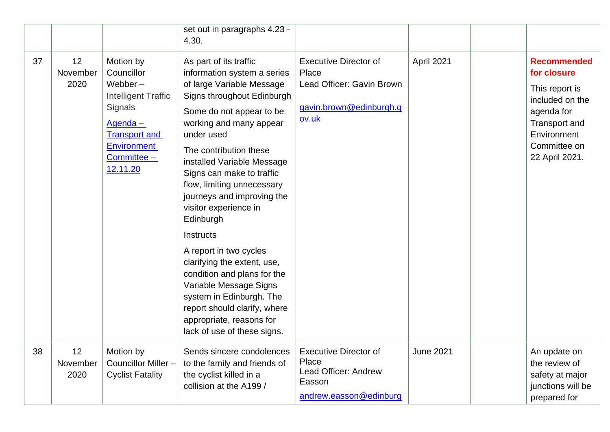|    |                        |                                                                                                                                                                    | set out in paragraphs 4.23 -<br>4.30.                                                                                                                                                                                                                                                                                                                                                                                                                                                                                                                                                                                              |                                                                                                        |                  |                                                                                                                                                        |
|----|------------------------|--------------------------------------------------------------------------------------------------------------------------------------------------------------------|------------------------------------------------------------------------------------------------------------------------------------------------------------------------------------------------------------------------------------------------------------------------------------------------------------------------------------------------------------------------------------------------------------------------------------------------------------------------------------------------------------------------------------------------------------------------------------------------------------------------------------|--------------------------------------------------------------------------------------------------------|------------------|--------------------------------------------------------------------------------------------------------------------------------------------------------|
| 37 | 12<br>November<br>2020 | Motion by<br>Councillor<br>Webber $-$<br><b>Intelligent Traffic</b><br>Signals<br>Agenda-<br><b>Transport and</b><br><b>Environment</b><br>Committee -<br>12.11.20 | As part of its traffic<br>information system a series<br>of large Variable Message<br>Signs throughout Edinburgh<br>Some do not appear to be<br>working and many appear<br>under used<br>The contribution these<br>installed Variable Message<br>Signs can make to traffic<br>flow, limiting unnecessary<br>journeys and improving the<br>visitor experience in<br>Edinburgh<br>Instructs<br>A report in two cycles<br>clarifying the extent, use,<br>condition and plans for the<br>Variable Message Signs<br>system in Edinburgh. The<br>report should clarify, where<br>appropriate, reasons for<br>lack of use of these signs. | <b>Executive Director of</b><br>Place<br>Lead Officer: Gavin Brown<br>gavin.brown@edinburgh.g<br>ov.uk | April 2021       | <b>Recommended</b><br>for closure<br>This report is<br>included on the<br>agenda for<br>Transport and<br>Environment<br>Committee on<br>22 April 2021. |
| 38 | 12<br>November<br>2020 | Motion by<br>Councillor Miller-<br><b>Cyclist Fatality</b>                                                                                                         | Sends sincere condolences<br>to the family and friends of<br>the cyclist killed in a<br>collision at the A199 /                                                                                                                                                                                                                                                                                                                                                                                                                                                                                                                    | <b>Executive Director of</b><br>Place<br>Lead Officer: Andrew<br>Easson<br>andrew.easson@edinburg      | <b>June 2021</b> | An update on<br>the review of<br>safety at major<br>junctions will be<br>prepared for                                                                  |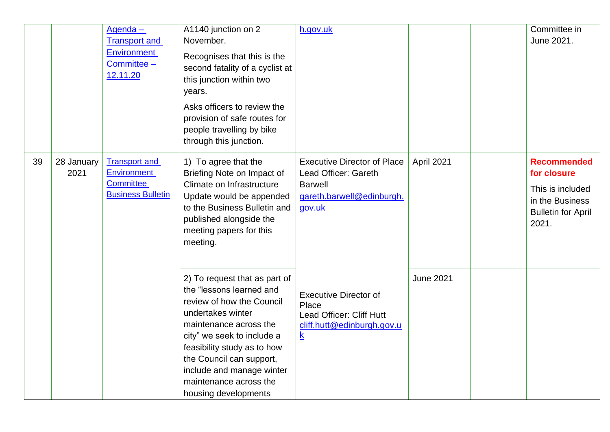|    |                    | Agenda-<br><b>Transport and</b><br>Environment<br>Committee -<br>12.11.20                  | A1140 junction on 2<br>November.<br>Recognises that this is the<br>second fatality of a cyclist at<br>this junction within two<br>years.<br>Asks officers to review the<br>provision of safe routes for<br>people travelling by bike<br>through this junction.                                                | h.gov.uk                                                                                                            |                  | Committee in<br>June 2021.                                                                                     |
|----|--------------------|--------------------------------------------------------------------------------------------|---------------------------------------------------------------------------------------------------------------------------------------------------------------------------------------------------------------------------------------------------------------------------------------------------------------|---------------------------------------------------------------------------------------------------------------------|------------------|----------------------------------------------------------------------------------------------------------------|
| 39 | 28 January<br>2021 | <b>Transport and</b><br><b>Environment</b><br><b>Committee</b><br><b>Business Bulletin</b> | 1) To agree that the<br>Briefing Note on Impact of<br>Climate on Infrastructure<br>Update would be appended<br>to the Business Bulletin and<br>published alongside the<br>meeting papers for this<br>meeting.                                                                                                 | <b>Executive Director of Place</b><br>Lead Officer: Gareth<br><b>Barwell</b><br>gareth.barwell@edinburgh.<br>gov.uk | April 2021       | <b>Recommended</b><br>for closure<br>This is included<br>in the Business<br><b>Bulletin for April</b><br>2021. |
|    |                    |                                                                                            | 2) To request that as part of<br>the "lessons learned and<br>review of how the Council<br>undertakes winter<br>maintenance across the<br>city" we seek to include a<br>feasibility study as to how<br>the Council can support,<br>include and manage winter<br>maintenance across the<br>housing developments | <b>Executive Director of</b><br>Place<br>Lead Officer: Cliff Hutt<br>cliff.hutt@edinburgh.gov.u<br>$\underline{k}$  | <b>June 2021</b> |                                                                                                                |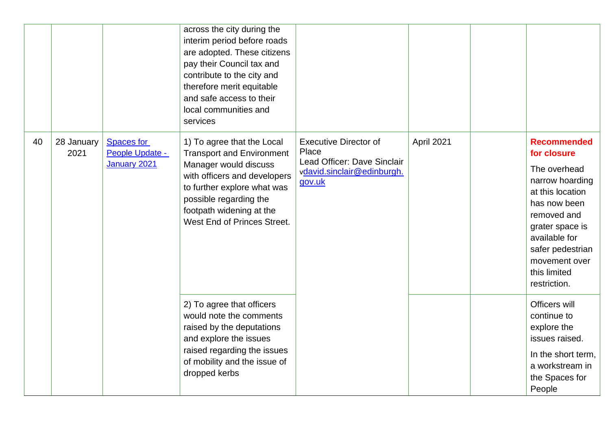|    |                    |                                      | across the city during the<br>interim period before roads<br>are adopted. These citizens<br>pay their Council tax and<br>contribute to the city and<br>therefore merit equitable<br>and safe access to their<br>local communities and<br>services |                                                                      |            |                                                                                                                                                                                             |
|----|--------------------|--------------------------------------|---------------------------------------------------------------------------------------------------------------------------------------------------------------------------------------------------------------------------------------------------|----------------------------------------------------------------------|------------|---------------------------------------------------------------------------------------------------------------------------------------------------------------------------------------------|
| 40 | 28 January<br>2021 | <b>Spaces for</b><br>People Update - | 1) To agree that the Local<br><b>Transport and Environment</b>                                                                                                                                                                                    | <b>Executive Director of</b><br>Place<br>Lead Officer: Dave Sinclair | April 2021 | <b>Recommended</b><br>for closure                                                                                                                                                           |
|    |                    | January 2021                         | Manager would discuss<br>with officers and developers<br>to further explore what was<br>possible regarding the<br>footpath widening at the<br>West End of Princes Street.                                                                         | vdavid.sinclair@edinburgh.<br>gov.uk                                 |            | The overhead<br>narrow hoarding<br>at this location<br>has now been<br>removed and<br>grater space is<br>available for<br>safer pedestrian<br>movement over<br>this limited<br>restriction. |
|    |                    |                                      | 2) To agree that officers<br>would note the comments<br>raised by the deputations<br>and explore the issues                                                                                                                                       |                                                                      |            | Officers will<br>continue to<br>explore the<br>issues raised.                                                                                                                               |
|    |                    |                                      | raised regarding the issues<br>of mobility and the issue of<br>dropped kerbs                                                                                                                                                                      |                                                                      |            | In the short term,<br>a workstream in<br>the Spaces for<br>People                                                                                                                           |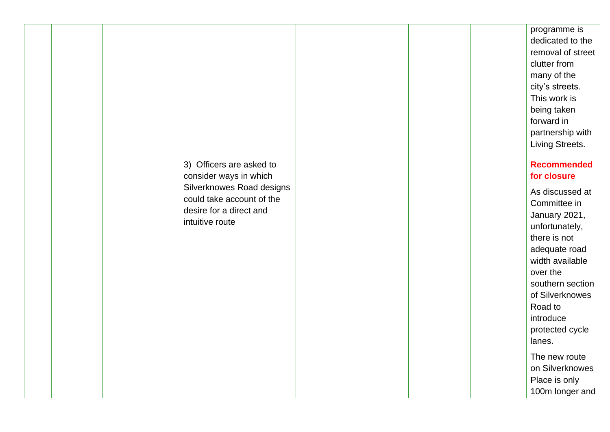|  |                                                                                                                                                            |  | programme is<br>dedicated to the<br>removal of street<br>clutter from<br>many of the<br>city's streets.<br>This work is<br>being taken<br>forward in<br>partnership with<br>Living Streets.                                                                         |
|--|------------------------------------------------------------------------------------------------------------------------------------------------------------|--|---------------------------------------------------------------------------------------------------------------------------------------------------------------------------------------------------------------------------------------------------------------------|
|  | 3) Officers are asked to<br>consider ways in which<br>Silverknowes Road designs<br>could take account of the<br>desire for a direct and<br>intuitive route |  | <b>Recommended</b><br>for closure<br>As discussed at<br>Committee in<br>January 2021,<br>unfortunately,<br>there is not<br>adequate road<br>width available<br>over the<br>southern section<br>of Silverknowes<br>Road to<br>introduce<br>protected cycle<br>lanes. |
|  |                                                                                                                                                            |  | The new route<br>on Silverknowes<br>Place is only<br>100m longer and                                                                                                                                                                                                |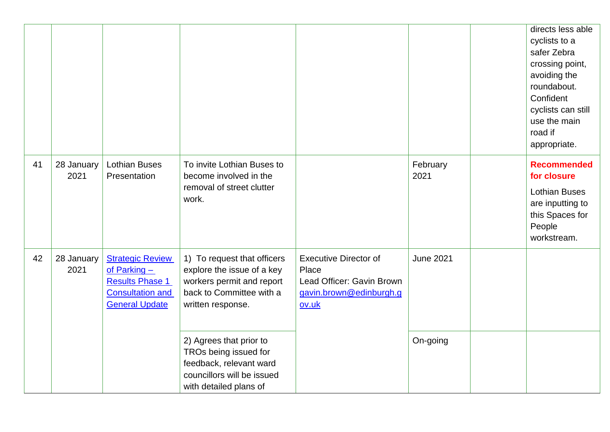|    |                    |                                                                                                                         |                                                                                                                                         |                                                                                                        |                  | directs less able<br>cyclists to a<br>safer Zebra<br>crossing point,<br>avoiding the<br>roundabout.<br>Confident<br>cyclists can still<br>use the main<br>road if<br>appropriate. |
|----|--------------------|-------------------------------------------------------------------------------------------------------------------------|-----------------------------------------------------------------------------------------------------------------------------------------|--------------------------------------------------------------------------------------------------------|------------------|-----------------------------------------------------------------------------------------------------------------------------------------------------------------------------------|
| 41 | 28 January<br>2021 | <b>Lothian Buses</b><br>Presentation                                                                                    | To invite Lothian Buses to<br>become involved in the<br>removal of street clutter<br>work.                                              |                                                                                                        | February<br>2021 | <b>Recommended</b><br>for closure<br><b>Lothian Buses</b><br>are inputting to<br>this Spaces for<br>People<br>workstream.                                                         |
| 42 | 28 January<br>2021 | <b>Strategic Review</b><br>of Parking $-$<br><b>Results Phase 1</b><br><b>Consultation and</b><br><b>General Update</b> | 1) To request that officers<br>explore the issue of a key<br>workers permit and report<br>back to Committee with a<br>written response. | <b>Executive Director of</b><br>Place<br>Lead Officer: Gavin Brown<br>gavin.brown@edinburgh.g<br>ov.uk | <b>June 2021</b> |                                                                                                                                                                                   |
|    |                    |                                                                                                                         | 2) Agrees that prior to<br>TROs being issued for<br>feedback, relevant ward<br>councillors will be issued<br>with detailed plans of     |                                                                                                        | On-going         |                                                                                                                                                                                   |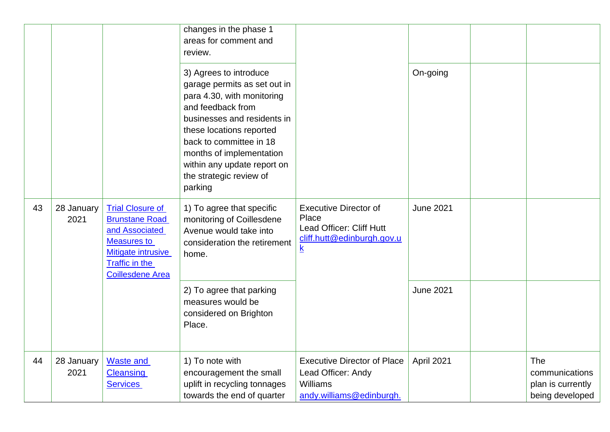|    |                    |                                                                                                                                                                           | changes in the phase 1<br>areas for comment and<br>review.                                                                                                                                                                                                                                       |                                                                                                                             |                  |                                                               |
|----|--------------------|---------------------------------------------------------------------------------------------------------------------------------------------------------------------------|--------------------------------------------------------------------------------------------------------------------------------------------------------------------------------------------------------------------------------------------------------------------------------------------------|-----------------------------------------------------------------------------------------------------------------------------|------------------|---------------------------------------------------------------|
|    |                    |                                                                                                                                                                           | 3) Agrees to introduce<br>garage permits as set out in<br>para 4.30, with monitoring<br>and feedback from<br>businesses and residents in<br>these locations reported<br>back to committee in 18<br>months of implementation<br>within any update report on<br>the strategic review of<br>parking |                                                                                                                             | On-going         |                                                               |
| 43 | 28 January<br>2021 | <b>Trial Closure of</b><br><b>Brunstane Road</b><br>and Associated<br><b>Measures to</b><br><b>Mitigate intrusive</b><br><b>Traffic in the</b><br><b>Coillesdene Area</b> | 1) To agree that specific<br>monitoring of Coillesdene<br>Avenue would take into<br>consideration the retirement<br>home.                                                                                                                                                                        | <b>Executive Director of</b><br>Place<br>Lead Officer: Cliff Hutt<br>cliff.hutt@edinburgh.gov.u<br>$\underline{\mathsf{k}}$ | <b>June 2021</b> |                                                               |
|    |                    |                                                                                                                                                                           | 2) To agree that parking<br>measures would be<br>considered on Brighton<br>Place.                                                                                                                                                                                                                |                                                                                                                             | <b>June 2021</b> |                                                               |
| 44 | 28 January<br>2021 | <b>Waste and</b><br><b>Cleansing</b><br><b>Services</b>                                                                                                                   | 1) To note with<br>encouragement the small<br>uplift in recycling tonnages<br>towards the end of quarter                                                                                                                                                                                         | <b>Executive Director of Place</b><br>Lead Officer: Andy<br><b>Williams</b><br>andy.williams@edinburgh.                     | April 2021       | The<br>communications<br>plan is currently<br>being developed |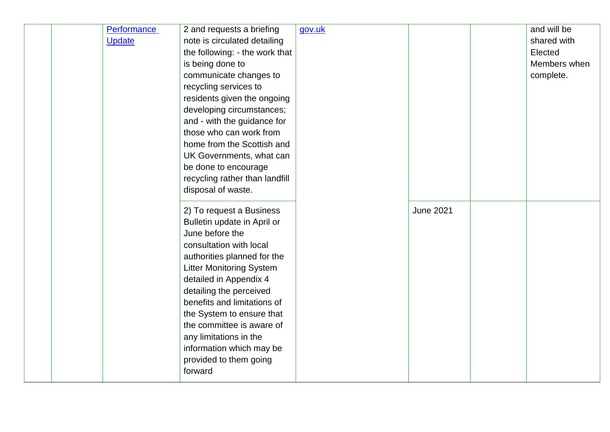|  | <b>Performance</b> | 2 and requests a briefing       | gov.uk |                  | and will be  |
|--|--------------------|---------------------------------|--------|------------------|--------------|
|  | <b>Update</b>      | note is circulated detailing    |        |                  | shared with  |
|  |                    | the following: - the work that  |        |                  | Elected      |
|  |                    | is being done to                |        |                  | Members when |
|  |                    | communicate changes to          |        |                  | complete.    |
|  |                    | recycling services to           |        |                  |              |
|  |                    | residents given the ongoing     |        |                  |              |
|  |                    | developing circumstances;       |        |                  |              |
|  |                    | and - with the guidance for     |        |                  |              |
|  |                    | those who can work from         |        |                  |              |
|  |                    | home from the Scottish and      |        |                  |              |
|  |                    | UK Governments, what can        |        |                  |              |
|  |                    | be done to encourage            |        |                  |              |
|  |                    | recycling rather than landfill  |        |                  |              |
|  |                    | disposal of waste.              |        |                  |              |
|  |                    |                                 |        |                  |              |
|  |                    | 2) To request a Business        |        | <b>June 2021</b> |              |
|  |                    | Bulletin update in April or     |        |                  |              |
|  |                    | June before the                 |        |                  |              |
|  |                    | consultation with local         |        |                  |              |
|  |                    | authorities planned for the     |        |                  |              |
|  |                    | <b>Litter Monitoring System</b> |        |                  |              |
|  |                    | detailed in Appendix 4          |        |                  |              |
|  |                    | detailing the perceived         |        |                  |              |
|  |                    | benefits and limitations of     |        |                  |              |
|  |                    | the System to ensure that       |        |                  |              |
|  |                    | the committee is aware of       |        |                  |              |
|  |                    | any limitations in the          |        |                  |              |
|  |                    | information which may be        |        |                  |              |
|  |                    | provided to them going          |        |                  |              |
|  |                    | forward                         |        |                  |              |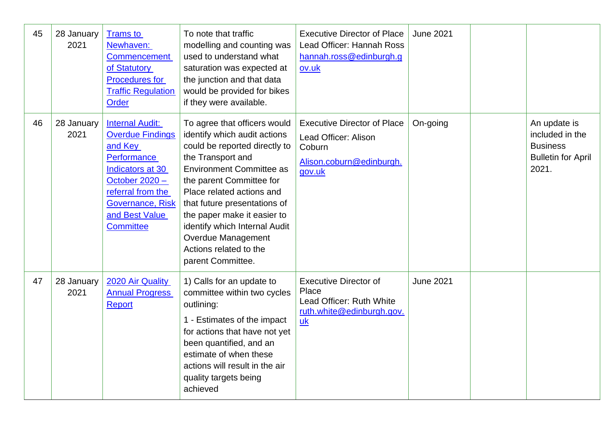| 45 | 28 January<br>2021 | <b>Trams to</b><br>Newhaven:<br><b>Commencement</b><br>of Statutory<br><b>Procedures for</b><br><b>Traffic Regulation</b><br><b>Order</b>                                                        | To note that traffic<br>modelling and counting was<br>used to understand what<br>saturation was expected at<br>the junction and that data<br>would be provided for bikes<br>if they were available.                                                                                                                                                                                        | <b>Executive Director of Place</b><br>Lead Officer: Hannah Ross<br>hannah.ross@edinburgh.g<br>ov.uk        | <b>June 2021</b> |                                                                                          |
|----|--------------------|--------------------------------------------------------------------------------------------------------------------------------------------------------------------------------------------------|--------------------------------------------------------------------------------------------------------------------------------------------------------------------------------------------------------------------------------------------------------------------------------------------------------------------------------------------------------------------------------------------|------------------------------------------------------------------------------------------------------------|------------------|------------------------------------------------------------------------------------------|
| 46 | 28 January<br>2021 | <b>Internal Audit:</b><br><b>Overdue Findings</b><br>and Key<br>Performance<br>Indicators at 30<br>October 2020 -<br>referral from the<br>Governance, Risk<br>and Best Value<br><b>Committee</b> | To agree that officers would<br>identify which audit actions<br>could be reported directly to<br>the Transport and<br><b>Environment Committee as</b><br>the parent Committee for<br>Place related actions and<br>that future presentations of<br>the paper make it easier to<br>identify which Internal Audit<br><b>Overdue Management</b><br>Actions related to the<br>parent Committee. | <b>Executive Director of Place</b><br>Lead Officer: Alison<br>Coburn<br>Alison.coburn@edinburgh.<br>gov.uk | On-going         | An update is<br>included in the<br><b>Business</b><br><b>Bulletin for April</b><br>2021. |
| 47 | 28 January<br>2021 | 2020 Air Quality<br><b>Annual Progress</b><br><b>Report</b>                                                                                                                                      | 1) Calls for an update to<br>committee within two cycles<br>outlining:<br>1 - Estimates of the impact<br>for actions that have not yet<br>been quantified, and an<br>estimate of when these<br>actions will result in the air<br>quality targets being<br>achieved                                                                                                                         | <b>Executive Director of</b><br>Place<br>Lead Officer: Ruth White<br>ruth.white@edinburgh.gov.<br>uk       | <b>June 2021</b> |                                                                                          |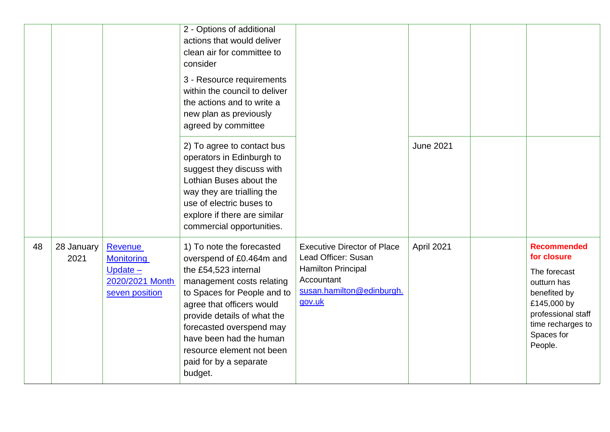|    |                    |                                                                                 | 2 - Options of additional<br>actions that would deliver<br>clean air for committee to<br>consider<br>3 - Resource requirements<br>within the council to deliver<br>the actions and to write a<br>new plan as previously<br>agreed by committee                                                                                 |                                                                                                                                             |                  |                                                                                                                                                                     |
|----|--------------------|---------------------------------------------------------------------------------|--------------------------------------------------------------------------------------------------------------------------------------------------------------------------------------------------------------------------------------------------------------------------------------------------------------------------------|---------------------------------------------------------------------------------------------------------------------------------------------|------------------|---------------------------------------------------------------------------------------------------------------------------------------------------------------------|
|    |                    |                                                                                 | 2) To agree to contact bus<br>operators in Edinburgh to<br>suggest they discuss with<br>Lothian Buses about the<br>way they are trialling the<br>use of electric buses to<br>explore if there are similar<br>commercial opportunities.                                                                                         |                                                                                                                                             | <b>June 2021</b> |                                                                                                                                                                     |
| 48 | 28 January<br>2021 | Revenue<br><b>Monitoring</b><br>Update $-$<br>2020/2021 Month<br>seven position | 1) To note the forecasted<br>overspend of £0.464m and<br>the £54,523 internal<br>management costs relating<br>to Spaces for People and to<br>agree that officers would<br>provide details of what the<br>forecasted overspend may<br>have been had the human<br>resource element not been<br>paid for by a separate<br>budget. | <b>Executive Director of Place</b><br>Lead Officer: Susan<br><b>Hamilton Principal</b><br>Accountant<br>susan.hamilton@edinburgh.<br>gov.uk | April 2021       | <b>Recommended</b><br>for closure<br>The forecast<br>outturn has<br>benefited by<br>£145,000 by<br>professional staff<br>time recharges to<br>Spaces for<br>People. |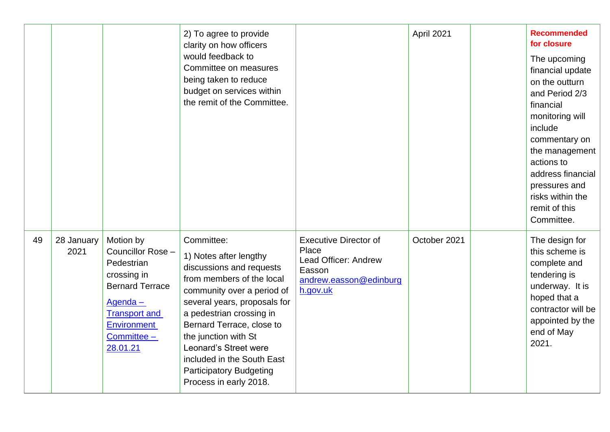|    |                    |                                                                                                                                                                           | 2) To agree to provide<br>clarity on how officers<br>would feedback to<br>Committee on measures<br>being taken to reduce<br>budget on services within<br>the remit of the Committee.                                                                                                                                                                            |                                                                                                               | April 2021   | <b>Recommended</b><br>for closure<br>The upcoming<br>financial update<br>on the outturn<br>and Period 2/3<br>financial<br>monitoring will<br>include<br>commentary on<br>the management<br>actions to<br>address financial<br>pressures and<br>risks within the<br>remit of this<br>Committee. |
|----|--------------------|---------------------------------------------------------------------------------------------------------------------------------------------------------------------------|-----------------------------------------------------------------------------------------------------------------------------------------------------------------------------------------------------------------------------------------------------------------------------------------------------------------------------------------------------------------|---------------------------------------------------------------------------------------------------------------|--------------|------------------------------------------------------------------------------------------------------------------------------------------------------------------------------------------------------------------------------------------------------------------------------------------------|
| 49 | 28 January<br>2021 | Motion by<br>Councillor Rose -<br>Pedestrian<br>crossing in<br><b>Bernard Terrace</b><br>Agenda-<br><b>Transport and</b><br><b>Environment</b><br>Committee -<br>28.01.21 | Committee:<br>1) Notes after lengthy<br>discussions and requests<br>from members of the local<br>community over a period of<br>several years, proposals for<br>a pedestrian crossing in<br>Bernard Terrace, close to<br>the junction with St<br>Leonard's Street were<br>included in the South East<br><b>Participatory Budgeting</b><br>Process in early 2018. | <b>Executive Director of</b><br>Place<br>Lead Officer: Andrew<br>Easson<br>andrew.easson@edinburg<br>h.gov.uk | October 2021 | The design for<br>this scheme is<br>complete and<br>tendering is<br>underway. It is<br>hoped that a<br>contractor will be<br>appointed by the<br>end of May<br>2021.                                                                                                                           |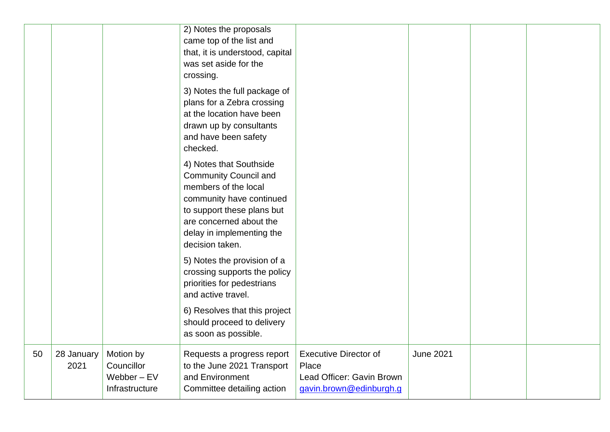|    |                    |                                                            | 2) Notes the proposals<br>came top of the list and<br>that, it is understood, capital<br>was set aside for the<br>crossing.<br>3) Notes the full package of<br>plans for a Zebra crossing<br>at the location have been<br>drawn up by consultants<br>and have been safety<br>checked. |                                                                                               |                  |  |
|----|--------------------|------------------------------------------------------------|---------------------------------------------------------------------------------------------------------------------------------------------------------------------------------------------------------------------------------------------------------------------------------------|-----------------------------------------------------------------------------------------------|------------------|--|
|    |                    |                                                            | 4) Notes that Southside<br><b>Community Council and</b><br>members of the local<br>community have continued<br>to support these plans but<br>are concerned about the<br>delay in implementing the<br>decision taken.                                                                  |                                                                                               |                  |  |
|    |                    |                                                            | 5) Notes the provision of a<br>crossing supports the policy<br>priorities for pedestrians<br>and active travel.                                                                                                                                                                       |                                                                                               |                  |  |
|    |                    |                                                            | 6) Resolves that this project<br>should proceed to delivery<br>as soon as possible.                                                                                                                                                                                                   |                                                                                               |                  |  |
| 50 | 28 January<br>2021 | Motion by<br>Councillor<br>Webber $-$ EV<br>Infrastructure | Requests a progress report<br>to the June 2021 Transport<br>and Environment<br>Committee detailing action                                                                                                                                                                             | <b>Executive Director of</b><br>Place<br>Lead Officer: Gavin Brown<br>gavin.brown@edinburgh.g | <b>June 2021</b> |  |